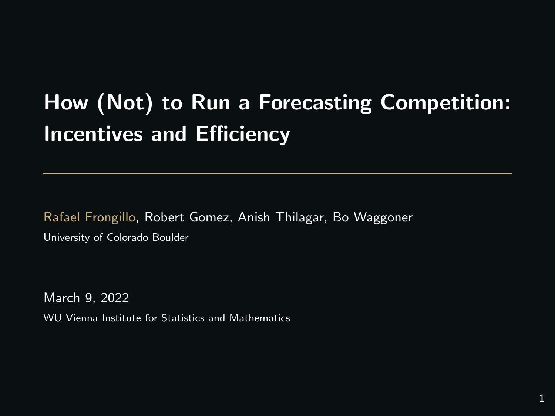# How (Not) to Run a Forecasting Competition: Incentives and Efficiency

Rafael Frongillo, Robert Gomez, Anish Thilagar, Bo Waggoner University of Colorado Boulder

March 9, 2022 WU Vienna Institute for Statistics and Mathematics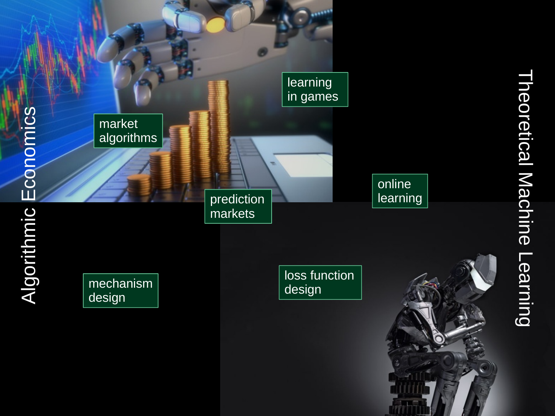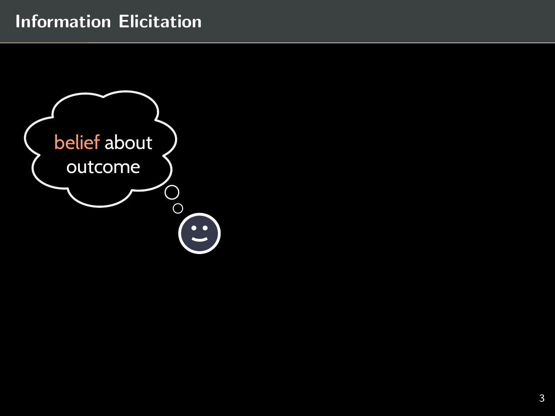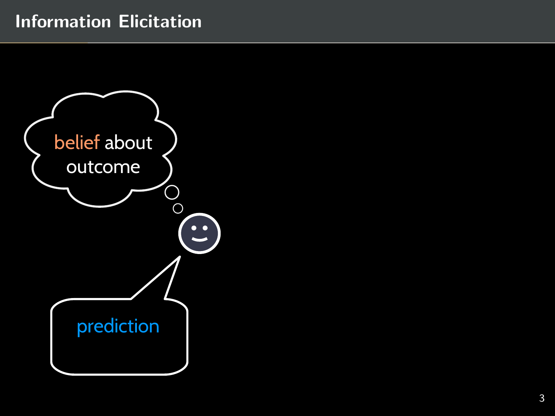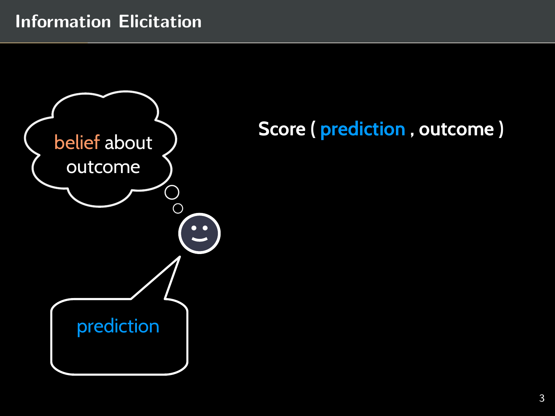

# **Score ( prediction , outcome )**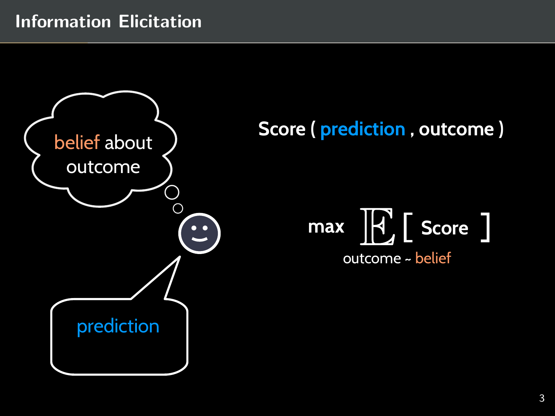

# **Score ( prediction , outcome )**

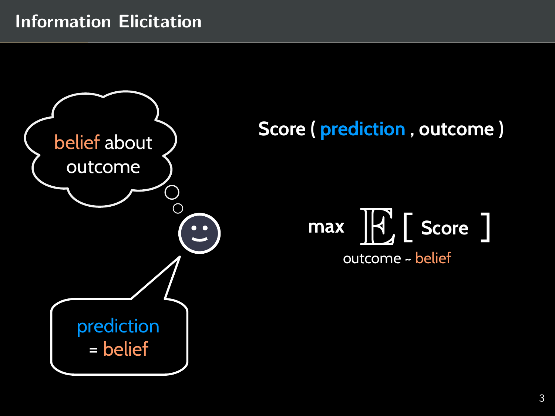

# **Score ( prediction , outcome )**

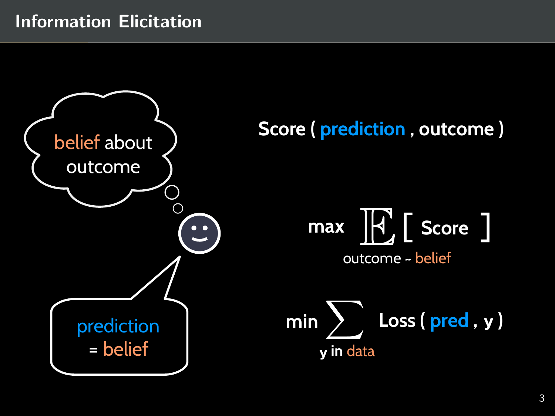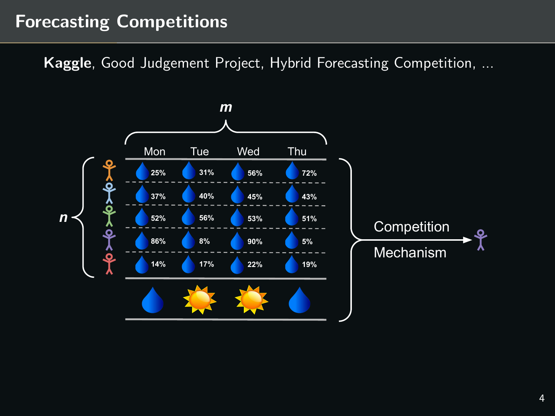## Forecasting Competitions

Kaggle, Good Judgement Project, Hybrid Forecasting Competition, ...

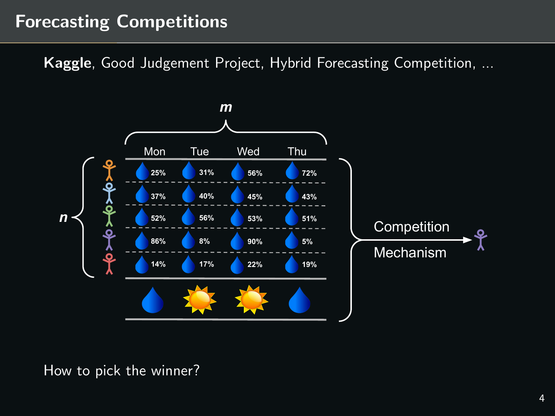## Forecasting Competitions

Kaggle, Good Judgement Project, Hybrid Forecasting Competition, ...



How to pick the winner?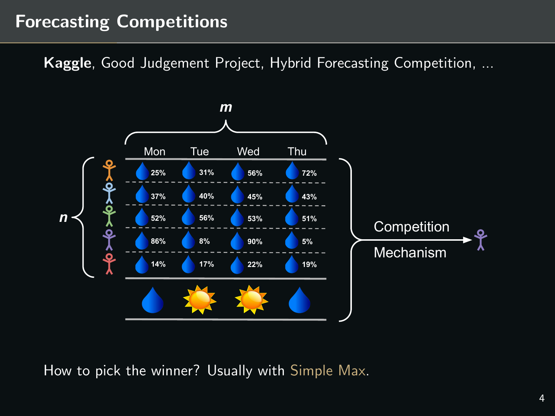## Forecasting Competitions

Kaggle, Good Judgement Project, Hybrid Forecasting Competition, ...



How to pick the winner? Usually with Simple Max.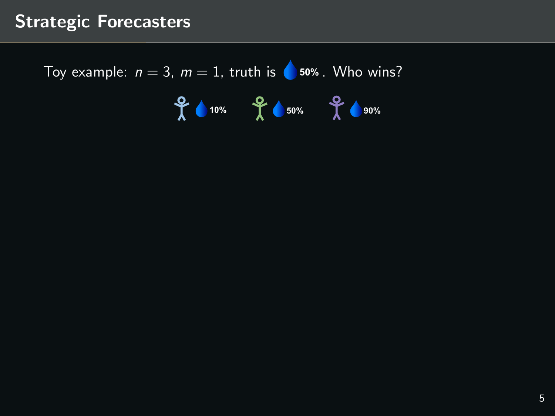Toy example:  $n = 3$ ,  $m = 1$ , truth is **C** 50% . Who wins?

**10% 50% 90%**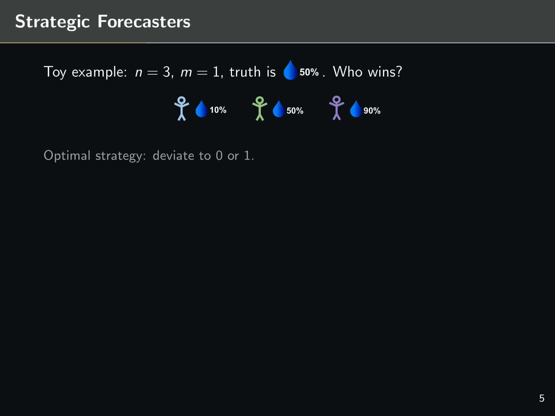Toy example:  $n = 3$ ,  $m = 1$ , truth is **C** 50% . Who wins? **10% 50% 90%**

Optimal strategy: deviate to 0 or 1.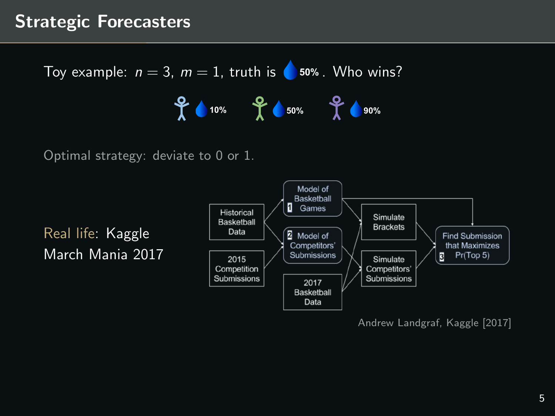Toy example:  $n = 3$ ,  $m = 1$ , truth is **C** 50% . Who wins?

**10% 50% 90%**

Optimal strategy: deviate to 0 or 1.

Real life: Kaggle March Mania 2017



Andrew Landgraf, [Kaggle \[2017\]](#page-79-0)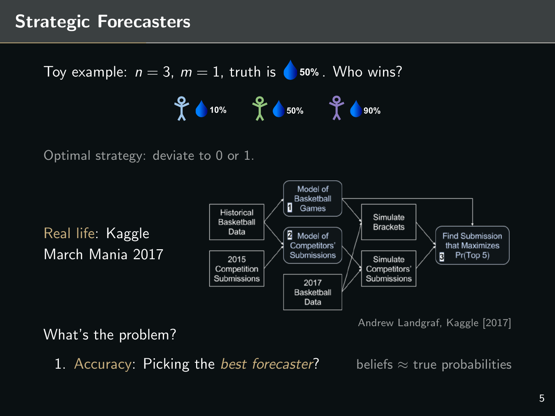Toy example:  $n = 3$ ,  $m = 1$ , truth is **C** 50% . Who wins? **10% 50% 90%**

Optimal strategy: deviate to 0 or 1.

Real life: Kaggle March Mania 2017



Andrew Landgraf, [Kaggle \[2017\]](#page-79-0)

What's the problem?

1. Accuracy: Picking the *best forecaster*? beliefs  $\approx$  true probabilities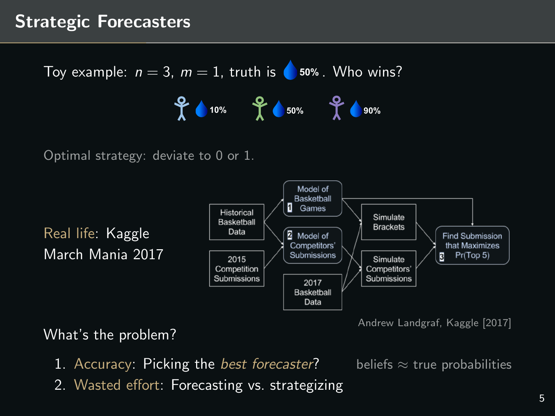Toy example:  $n = 3$ ,  $m = 1$ , truth is **C** 50% . Who wins? **10% 50% 90%**

Optimal strategy: deviate to 0 or 1.

Real life: Kaggle March Mania 2017



Andrew Landgraf, [Kaggle \[2017\]](#page-79-0)

What's the problem?

1. Accuracy: Picking the *best forecaster*? beliefs  $\approx$  true probabilities

2. Wasted effort: Forecasting vs. strategizing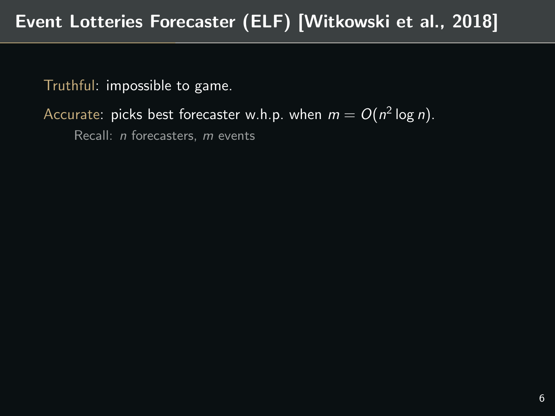Accurate: picks best forecaster w.h.p. when  $m=O(n^2\log n).$ 

Recall: n forecasters, m events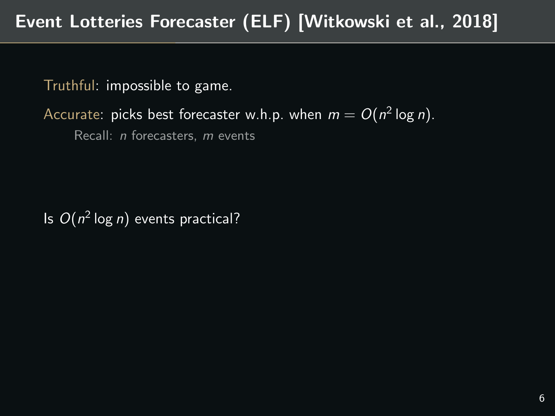Accurate: picks best forecaster w.h.p. when  $m=O(n^2\log n).$ 

Recall: *n* forecasters, *m* events

Is  $O(n^2 \log n)$  events practical?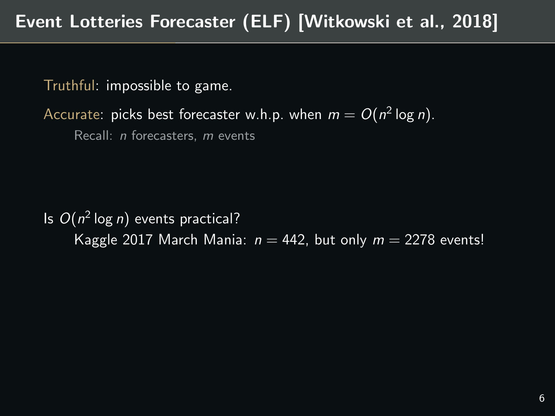Accurate: picks best forecaster w.h.p. when  $m=O(n^2\log n).$ 

Recall: n forecasters, m events

Is  $O(n^2 \log n)$  events practical? Kaggle 2017 March Mania:  $n = 442$ , but only  $m = 2278$  events!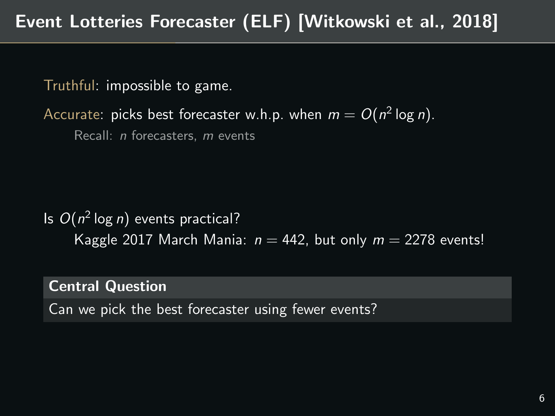Accurate: picks best forecaster w.h.p. when  $m=O(n^2\log n).$ 

Recall: n forecasters, m events

Is  $O(n^2 \log n)$  events practical? Kaggle 2017 March Mania:  $n = 442$ , but only  $m = 2278$  events!

Central Question

Can we pick the best forecaster using fewer events?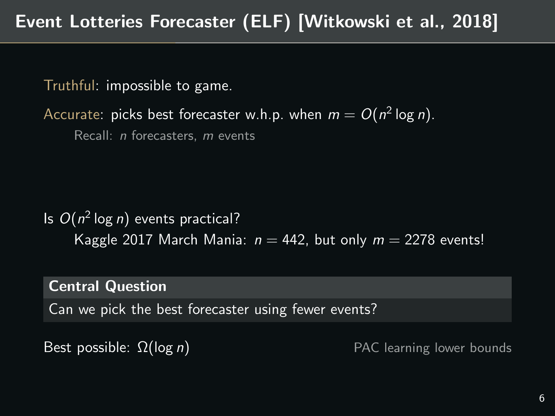Accurate: picks best forecaster w.h.p. when  $m=O(n^2\log n).$ 

Recall:  $\overline{n}$  forecasters,  $\overline{m}$  events

Is  $O(n^2 \log n)$  events practical? Kaggle 2017 March Mania:  $n = 442$ , but only  $m = 2278$  events!

Central Question

Can we pick the best forecaster using fewer events?

Best possible:  $\Omega(\log n)$  PAC learning lower bounds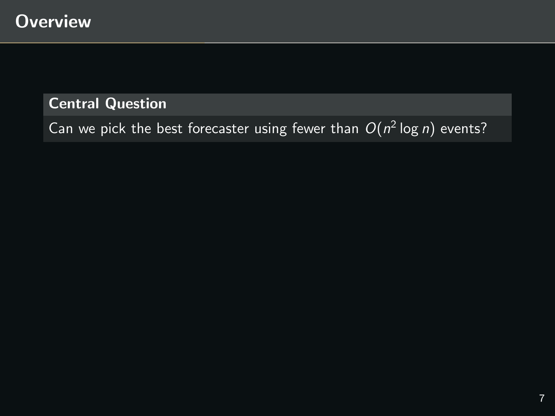Can we pick the best forecaster using fewer than  $O(n^2 \log n)$  events?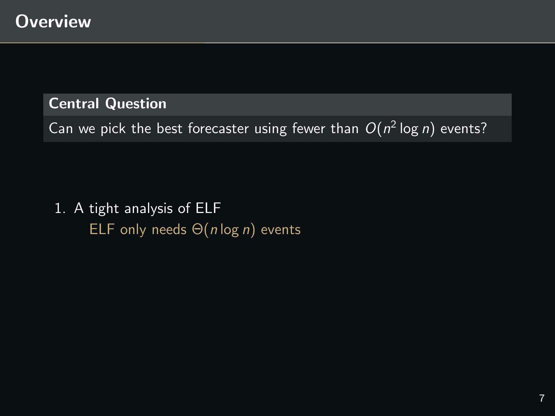Can we pick the best forecaster using fewer than  $O(n^2 \log n)$  events?

1. A tight analysis of ELF ELF only needs  $\Theta(n \log n)$  events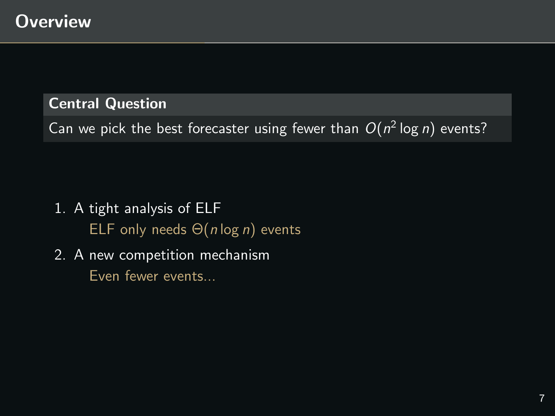Can we pick the best forecaster using fewer than  $O(n^2 \log n)$  events?

- 1. A tight analysis of ELF ELF only needs  $\Theta(n \log n)$  events
- 2. A new competition mechanism Even fewer events...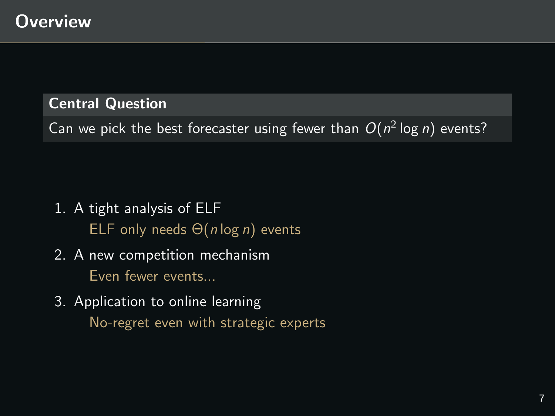Can we pick the best forecaster using fewer than  $O(n^2 \log n)$  events?

- 1. A tight analysis of ELF ELF only needs  $\Theta(n \log n)$  events
- 2. A new competition mechanism Even fewer events...
- 3. Application to online learning No-regret even with strategic experts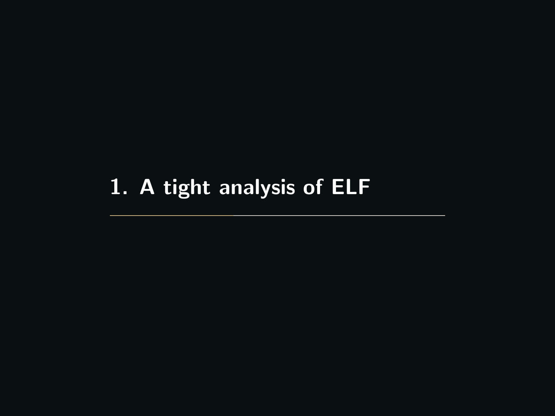# <span id="page-25-0"></span>[1. A tight analysis of ELF](#page-25-0)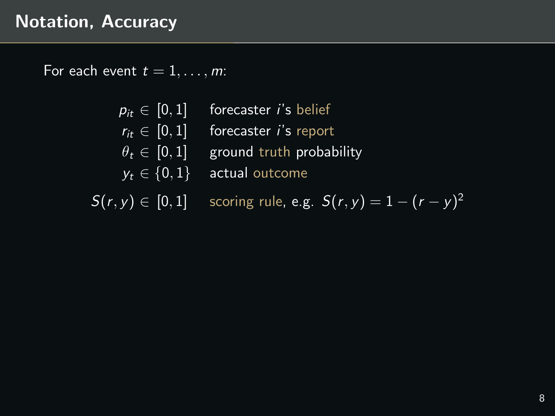## Notation, Accuracy

For each event  $t = 1, \ldots, m$ :

- $p_{it} \in [0, 1]$  forecaster *i*'s belief
- $r_{it} \in [0, 1]$  forecaster *i*'s report
- $\theta_t \in [0, 1]$  ground truth probability
- $y_t \in \{0,1\}$  actual outcome

 $S(r, y) \in [0, 1]$  scoring rule, e.g.  $S(r, y) = 1 - (r - y)^2$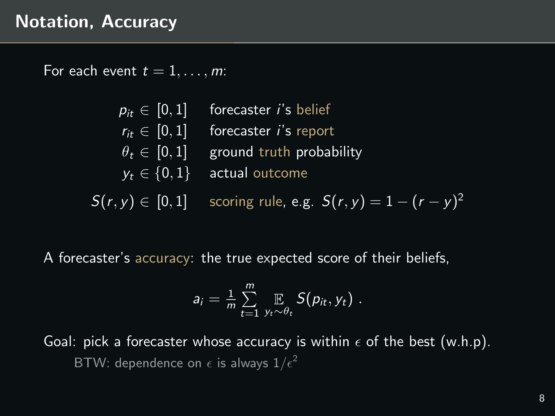For each event  $t = 1, \ldots, m$ :

 $p_{it} \in [0, 1]$  forecaster *i's* belief  $r_{it} \in [0, 1]$  forecaster *i*'s report  $\theta_t \in [0, 1]$  ground truth probability  $y_t \in \{0, 1\}$  actual outcome  $S(r, y) \in [0, 1]$  scoring rule, e.g.  $S(r, y) = 1 - (r - y)^2$ 

A forecaster's accuracy: the true expected score of their beliefs,

$$
a_i = \frac{1}{m} \sum_{t=1}^m \mathop{\mathbb{E}}_{y_t \sim \theta_t} S(p_{it}, y_t) \ .
$$

Goal: pick a forecaster whose accuracy is within  $\epsilon$  of the best (w.h.p). BTW: dependence on  $\epsilon$  is always  $1/\epsilon^2$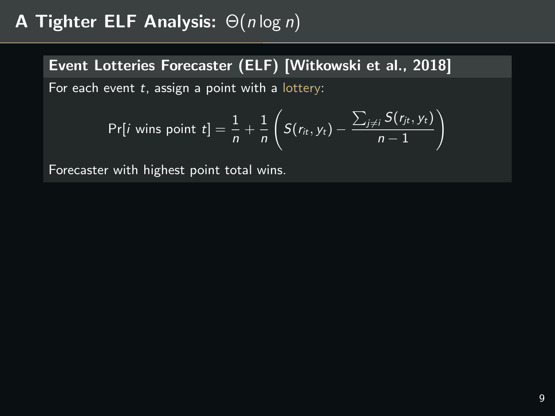## Event Lotteries Forecaster (ELF) [\[Witkowski et al., 2018\]](#page-79-1)

For each event  $t$ , assign a point with a lottery:

$$
Pr[i \text{ wins point } t] = \frac{1}{n} + \frac{1}{n} \left( S(r_{it}, y_t) - \frac{\sum_{j \neq i} S(r_{jt}, y_t)}{n-1} \right)
$$

Forecaster with highest point total wins.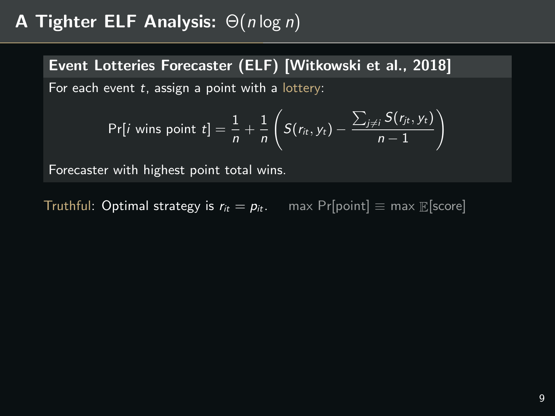Event Lotteries Forecaster (ELF) [\[Witkowski et al., 2018\]](#page-79-1)

For each event  $t$ , assign a point with a lottery:

$$
Pr[i \text{ wins point } t] = \frac{1}{n} + \frac{1}{n} \left( S(r_{it}, y_t) - \frac{\sum_{j \neq i} S(r_{jt}, y_t)}{n-1} \right)
$$

Forecaster with highest point total wins.

Truthful: Optimal strategy is  $r_{it} = p_{it}$ . max Pr[point]  $\equiv$  max  $\mathbb{E}$ [score]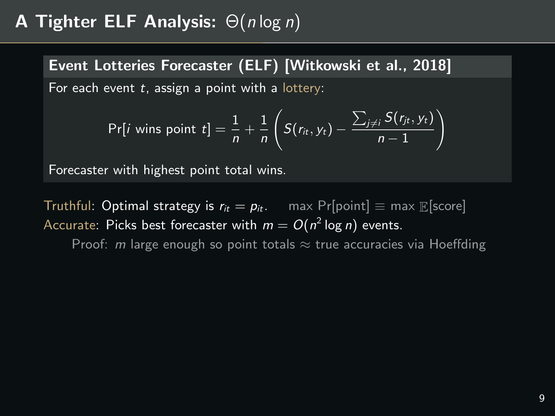Event Lotteries Forecaster (ELF) [\[Witkowski et al., 2018\]](#page-79-1) For each event  $t$ , assign a point with a lottery:

$$
Pr[i \text{ wins point } t] = \frac{1}{n} + \frac{1}{n} \left( S(r_{it}, y_t) - \frac{\sum_{j \neq i} S(r_{jt}, y_t)}{n-1} \right)
$$

Forecaster with highest point total wins.

Truthful: Optimal strategy is  $r_{it} = p_{it}$ . max Pr[point]  $\equiv$  max E[score] Accurate: Picks best forecaster with  $m=O(n^2\log n)$  events.

Proof: *m* large enough so point totals  $\approx$  true accuracies via Hoeffding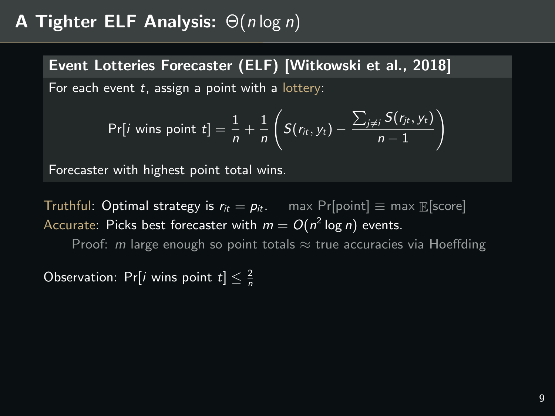Event Lotteries Forecaster (ELF) [\[Witkowski et al., 2018\]](#page-79-1) For each event  $t$ , assign a point with a lottery:

$$
Pr[i \text{ wins point } t] = \frac{1}{n} + \frac{1}{n} \left( S(r_{it}, y_t) - \frac{\sum_{j \neq i} S(r_{jt}, y_t)}{n-1} \right)
$$

Forecaster with highest point total wins.

Truthful: Optimal strategy is  $r_{it} = p_{it}$ . max Pr[point]  $\equiv$  max  $\mathbb{E}$ [score] Accurate: Picks best forecaster with  $m=O(n^2\log n)$  events.

Proof: *m* large enough so point totals  $\approx$  true accuracies via Hoeffding

Observation: Pr[*i* wins point  $t \rceil \leq \frac{2}{n}$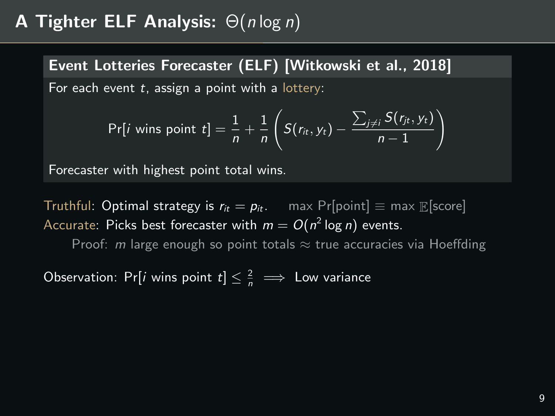Event Lotteries Forecaster (ELF) [\[Witkowski et al., 2018\]](#page-79-1) For each event  $t$ , assign a point with a lottery:

$$
Pr[i \text{ wins point } t] = \frac{1}{n} + \frac{1}{n} \left( S(r_{it}, y_t) - \frac{\sum_{j \neq i} S(r_{jt}, y_t)}{n-1} \right)
$$

Forecaster with highest point total wins.

Truthful: Optimal strategy is  $r_{it} = p_{it}$ . max Pr[point]  $\equiv$  max  $\mathbb{E}$ [score] Accurate: Picks best forecaster with  $m=O(n^2\log n)$  events.

Proof: m large enough so point totals  $\approx$  true accuracies via Hoeffding

Observation: Pr[*i* wins point  $t \leq \frac{2}{n} \implies$  Low variance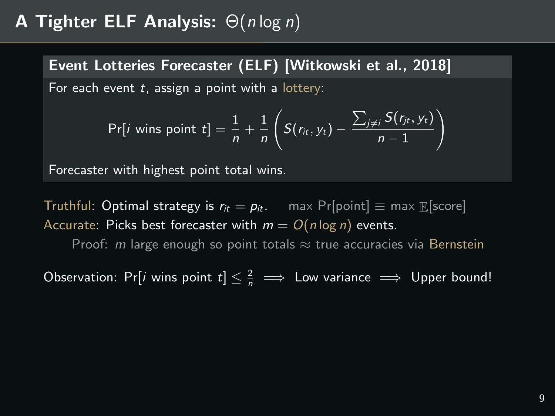Event Lotteries Forecaster (ELF) [\[Witkowski et al., 2018\]](#page-79-1) For each event  $t$ , assign a point with a lottery:

$$
Pr[i \text{ wins point } t] = \frac{1}{n} + \frac{1}{n} \left( S(r_{it}, y_t) - \frac{\sum_{j \neq i} S(r_{jt}, y_t)}{n-1} \right)
$$

Forecaster with highest point total wins.

Truthful: Optimal strategy is  $r_{it} = p_{it}$ . max Pr[point]  $\equiv$  max  $\mathbb{E}$ [score] Accurate: Picks best forecaster with  $m = O(n \log n)$  events.

Proof: m large enough so point totals  $\approx$  true accuracies via Bernstein

Observation: Pr[*i* wins point  $t \leq \frac{2}{n} \implies$  Low variance  $\implies$  Upper bound!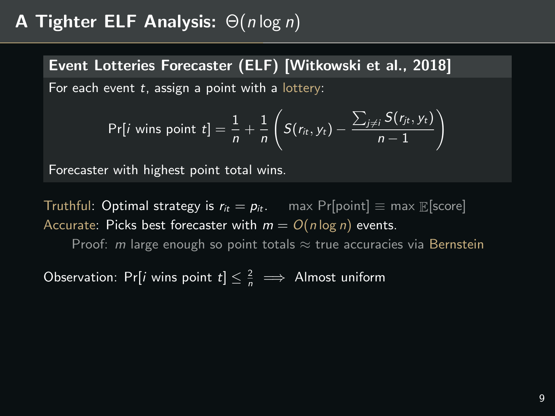Event Lotteries Forecaster (ELF) [\[Witkowski et al., 2018\]](#page-79-1) For each event  $t$ , assign a point with a lottery:

$$
Pr[i \text{ wins point } t] = \frac{1}{n} + \frac{1}{n} \left( S(r_{it}, y_t) - \frac{\sum_{j \neq i} S(r_{jt}, y_t)}{n-1} \right)
$$

Forecaster with highest point total wins.

Truthful: Optimal strategy is  $r_{it} = p_{it}$ . max Pr[point]  $\equiv$  max  $\mathbb{E}$ [score] Accurate: Picks best forecaster with  $m = O(n \log n)$  events.

Proof: m large enough so point totals  $\approx$  true accuracies via Bernstein

Observation: Pr[*i* wins point  $t \leq \frac{2}{n} \implies$  Almost uniform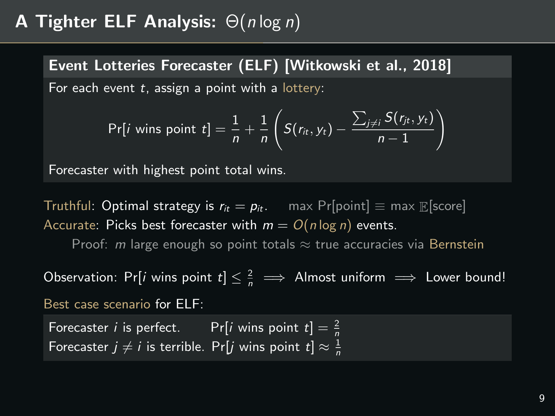Event Lotteries Forecaster (ELF) [\[Witkowski et al., 2018\]](#page-79-1) For each event  $t$ , assign a point with a lottery:

$$
Pr[i \text{ wins point } t] = \frac{1}{n} + \frac{1}{n} \left( S(r_{it}, y_t) - \frac{\sum_{j \neq i} S(r_{jt}, y_t)}{n-1} \right)
$$

Forecaster with highest point total wins.

Truthful: Optimal strategy is  $r_{it} = p_{it}$ . max Pr[point]  $\equiv$  max  $\mathbb{E}$ [score] Accurate: Picks best forecaster with  $m = O(n \log n)$  events.

Proof: m large enough so point totals  $\approx$  true accuracies via Bernstein

Observation: Pr[*i* wins point  $t \leq \frac{2}{n} \implies$  Almost uniform  $\implies$  Lower bound! Best case scenario for ELF:

Forecaster *i* is perfect. Pr[*i* wins point  $t$ ]  $=$   $\frac{2}{n}$ Forecaster  $j\neq i$  is terrible. Pr[ $j$  wins point  $t]\approx \frac{1}{n}$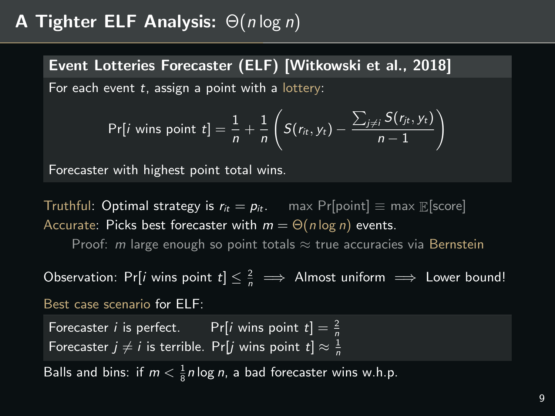# **A Tighter ELF Analysis:**  $\Theta(n \log n)$

Event Lotteries Forecaster (ELF) [\[Witkowski et al., 2018\]](#page-79-0) For each event  $t$ , assign a point with a lottery:

$$
Pr[i \text{ wins point } t] = \frac{1}{n} + \frac{1}{n} \left( S(r_{it}, y_t) - \frac{\sum_{j \neq i} S(r_{jt}, y_t)}{n-1} \right)
$$

Forecaster with highest point total wins.

Truthful: Optimal strategy is  $r_{it} = p_{it}$ . max Pr[point]  $\equiv$  max  $\mathbb{E}$ [score] Accurate: Picks best forecaster with  $m = \Theta(n \log n)$  events.

Proof: m large enough so point totals  $\approx$  true accuracies via Bernstein

Observation: Pr[*i* wins point  $t \leq \frac{2}{n} \implies$  Almost uniform  $\implies$  Lower bound! Best case scenario for ELF:

Forecaster *i* is perfect. Pr[*i* wins point  $t$ ] =  $\frac{2}{n}$ Forecaster  $j\neq i$  is terrible. Pr[ $j$  wins point  $t]\approx \frac{1}{n}$ 

Balls and bins: if  $m < \frac{1}{8}n\log n$ , a bad forecaster wins w.h.p.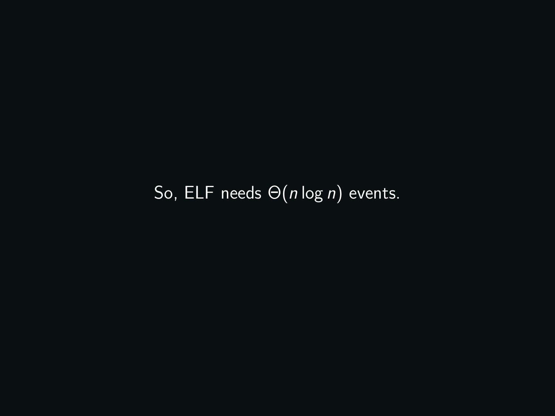So, ELF needs Θ(n log n) events.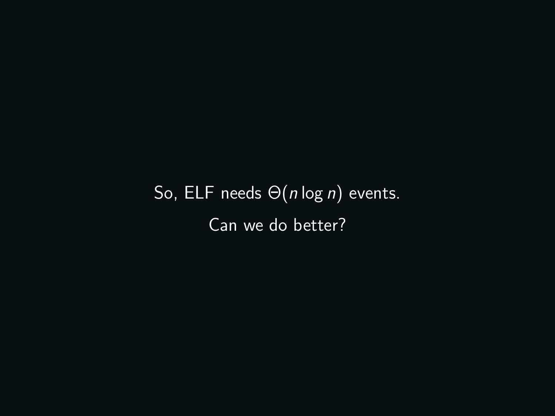So, ELF needs  $\Theta(n \log n)$  events. Can we do better?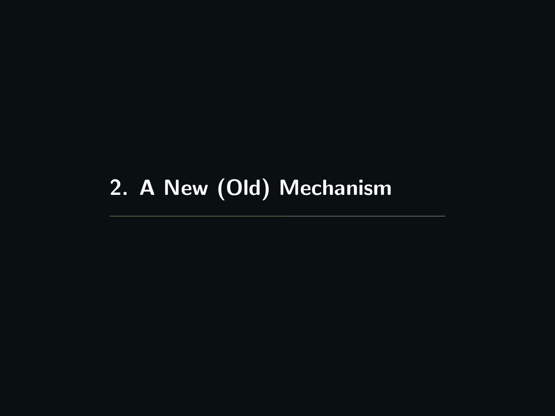# <span id="page-39-0"></span>[2. A New \(Old\) Mechanism](#page-39-0)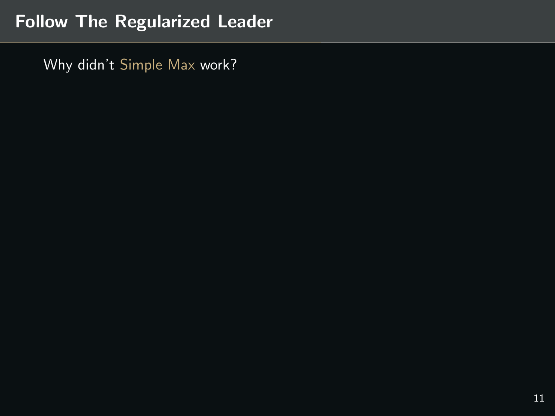# Follow The Regularized Leader

Why didn't Simple Max work?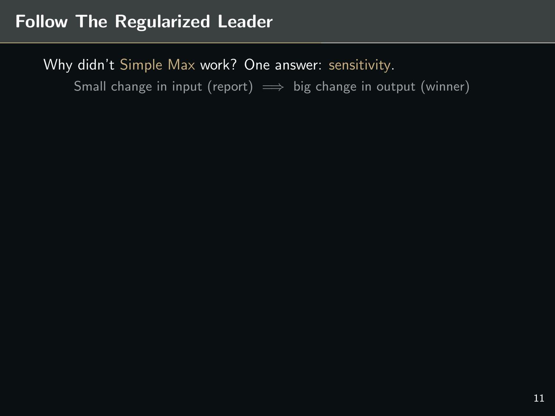## Follow The Regularized Leader

Why didn't Simple Max work? One answer: sensitivity.

Small change in input (report)  $\implies$  big change in output (winner)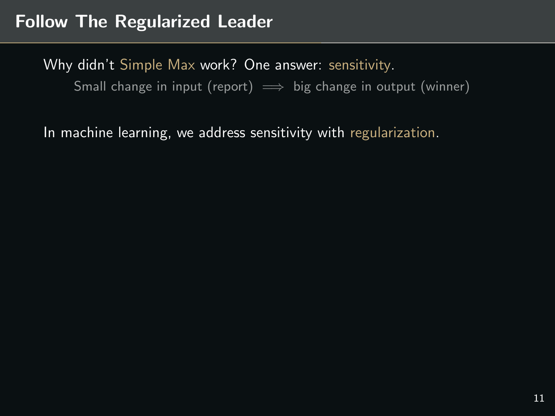In machine learning, we address sensitivity with regularization.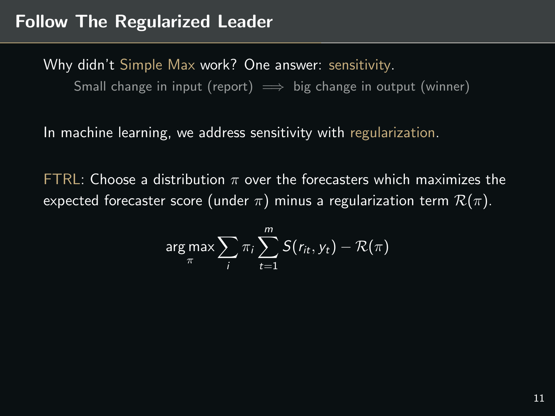In machine learning, we address sensitivity with regularization.

FTRL: Choose a distribution  $\pi$  over the forecasters which maximizes the expected forecaster score (under  $\pi$ ) minus a regularization term  $\mathcal{R}(\pi)$ .

$$
\arg \max_{\pi} \sum_{i} \pi_i \sum_{t=1}^{m} S(r_{it}, y_t) - \mathcal{R}(\pi)
$$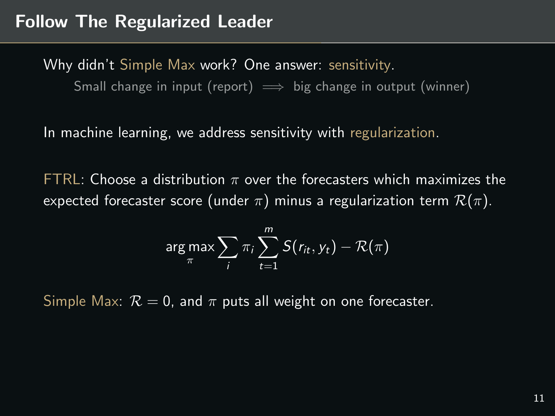In machine learning, we address sensitivity with regularization.

FTRL: Choose a distribution  $\pi$  over the forecasters which maximizes the expected forecaster score (under  $\pi$ ) minus a regularization term  $\mathcal{R}(\pi)$ .

$$
\arg \max_{\pi} \sum_{i} \pi_{i} \sum_{t=1}^{m} S(r_{it}, y_{t}) - \mathcal{R}(\pi)
$$

Simple Max:  $\mathcal{R} = 0$ , and  $\pi$  puts all weight on one forecaster.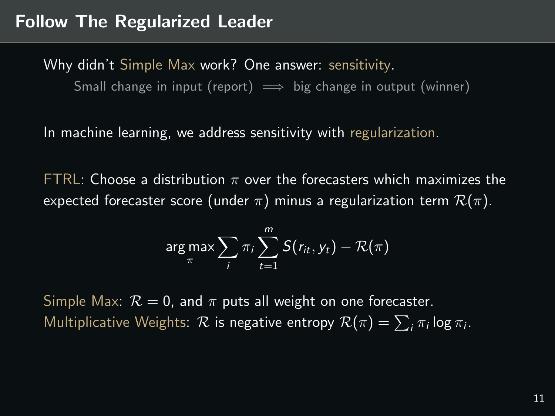In machine learning, we address sensitivity with regularization.

FTRL: Choose a distribution  $\pi$  over the forecasters which maximizes the expected forecaster score (under  $\pi$ ) minus a regularization term  $\mathcal{R}(\pi)$ .

$$
\arg \max_{\pi} \sum_{i} \pi_i \sum_{t=1}^{m} S(r_{it}, y_t) - \mathcal{R}(\pi)
$$

Simple Max:  $\mathcal{R} = 0$ , and  $\pi$  puts all weight on one forecaster. Multiplicative Weights:  $\cal R$  is negative entropy  ${\cal R}(\pi)=\sum_i \pi_i\log\pi_i.$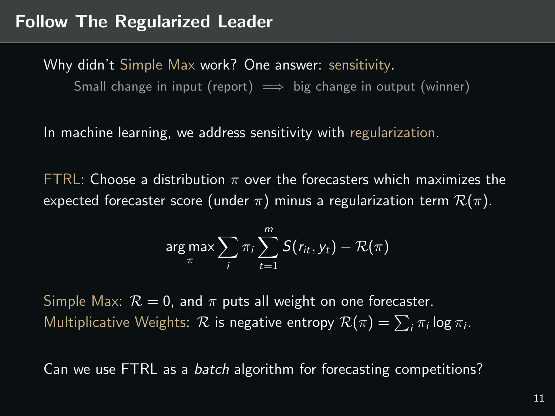In machine learning, we address sensitivity with regularization.

FTRL: Choose a distribution  $\pi$  over the forecasters which maximizes the expected forecaster score (under  $\pi$ ) minus a regularization term  $\mathcal{R}(\pi)$ .

$$
\argmax_{\pi} \sum_{i} \pi_i \sum_{t=1}^{m} S(r_{it}, y_t) - \mathcal{R}(\pi)
$$

Simple Max:  $\mathcal{R} = 0$ , and  $\pi$  puts all weight on one forecaster. Multiplicative Weights:  $\cal R$  is negative entropy  ${\cal R}(\pi)=\sum_i \pi_i\log\pi_i.$ 

Can we use FTRL as a batch algorithm for forecasting competitions?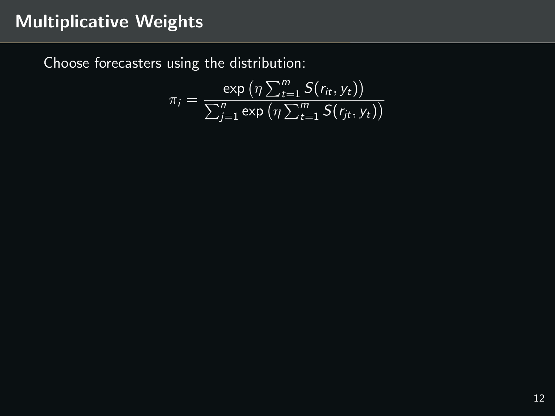Choose forecasters using the distribution:

$$
\pi_i = \frac{\exp\left(\eta \sum_{t=1}^m S(r_{it}, y_t)\right)}{\sum_{j=1}^n \exp\left(\eta \sum_{t=1}^m S(r_{jt}, y_t)\right)}
$$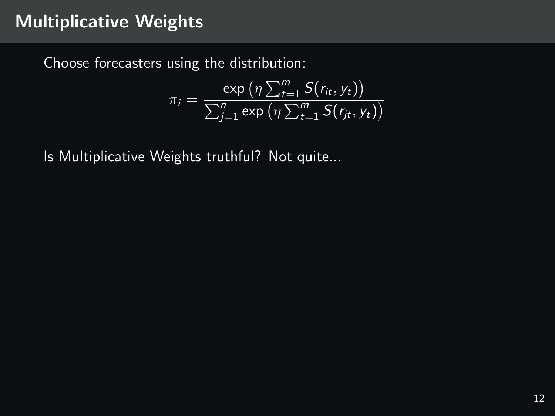Choose forecasters using the distribution:

$$
\pi_i = \frac{\exp\left(\eta \sum_{t=1}^m S(r_{it}, y_t)\right)}{\sum_{j=1}^n \exp\left(\eta \sum_{t=1}^m S(r_{jt}, y_t)\right)}
$$

Is Multiplicative Weights truthful? Not quite...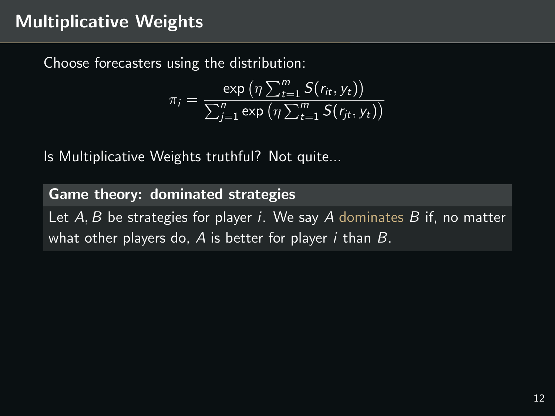Choose forecasters using the distribution:

$$
\pi_i = \frac{\exp\left(\eta \sum_{t=1}^m S(r_{it}, y_t)\right)}{\sum_{j=1}^n \exp\left(\eta \sum_{t=1}^m S(r_{jt}, y_t)\right)}
$$

Is Multiplicative Weights truthful? Not quite...

# Game theory: dominated strategies Let  $A, B$  be strategies for player *i*. We say  $A$  dominates  $B$  if, no matter what other players do,  $A$  is better for player  $i$  than  $B$ .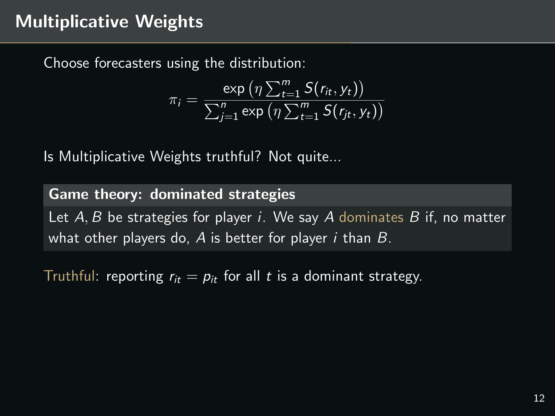Choose forecasters using the distribution:

$$
\pi_i = \frac{\exp\left(\eta \sum_{t=1}^m S(r_{it}, y_t)\right)}{\sum_{j=1}^n \exp\left(\eta \sum_{t=1}^m S(r_{jt}, y_t)\right)}
$$

Is Multiplicative Weights truthful? Not quite...

Game theory: dominated strategies Let  $A, B$  be strategies for player *i*. We say  $A$  dominates  $B$  if, no matter what other players do,  $A$  is better for player *i* than  $B$ .

Truthful: reporting  $r_{it} = p_{it}$  for all t is a dominant strategy.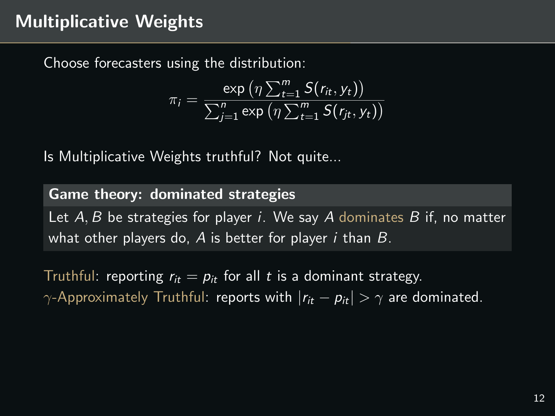Choose forecasters using the distribution:

$$
\pi_i = \frac{\exp\left(\eta \sum_{t=1}^m S(r_{it}, y_t)\right)}{\sum_{j=1}^n \exp\left(\eta \sum_{t=1}^m S(r_{jt}, y_t)\right)}
$$

Is Multiplicative Weights truthful? Not quite...

Game theory: dominated strategies Let  $A, B$  be strategies for player *i*. We say  $A$  dominates  $B$  if, no matter what other players do,  $A$  is better for player *i* than  $B$ .

Truthful: reporting  $r_{it} = p_{it}$  for all t is a dominant strategy.  $\gamma$ -Approximately Truthful: reports with  $|r_{it} - p_{it}| > \gamma$  are dominated.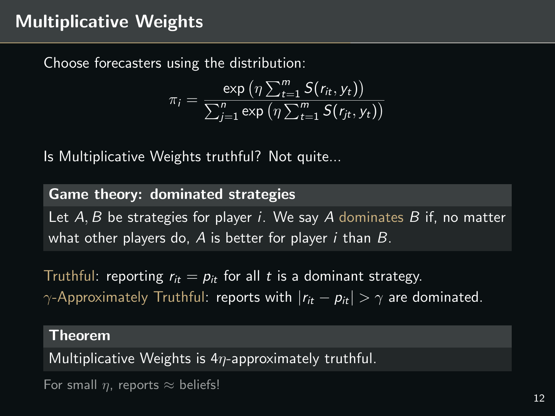Choose forecasters using the distribution:

$$
\pi_i = \frac{\exp\left(\eta \sum_{t=1}^m S(r_{it}, y_t)\right)}{\sum_{j=1}^n \exp\left(\eta \sum_{t=1}^m S(r_{jt}, y_t)\right)}
$$

Is Multiplicative Weights truthful? Not quite...

Game theory: dominated strategies Let  $A, B$  be strategies for player *i*. We say  $A$  dominates  $B$  if, no matter what other players do,  $A$  is better for player *i* than  $B$ .

Truthful: reporting  $r_{it} = p_{it}$  for all t is a dominant strategy.  $\gamma$ -Approximately Truthful: reports with  $|r_{it} - p_{it}| > \gamma$  are dominated.

#### Theorem

Multiplicative Weights is  $4\eta$ -approximately truthful.

For small  $\eta$ , reports  $\approx$  beliefs!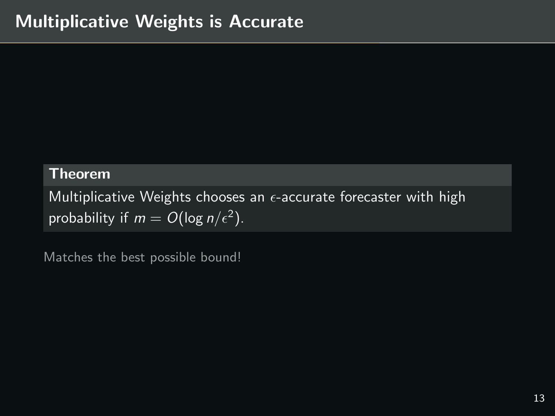#### **Theorem**

Multiplicative Weights chooses an  $\epsilon$ -accurate forecaster with high probability if  $m = O(\log n/\epsilon^2)$ .

Matches the best possible bound!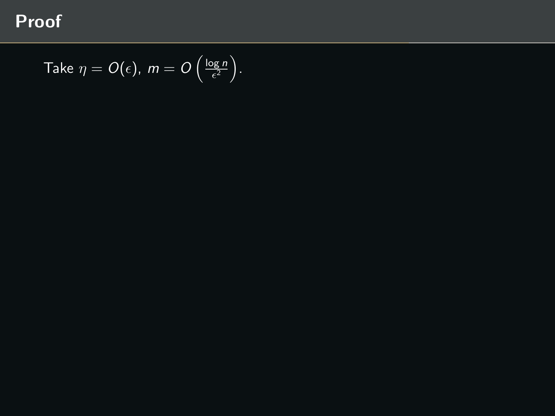Take 
$$
\eta = O(\epsilon)
$$
,  $m = O\left(\frac{\log n}{\epsilon^2}\right)$ .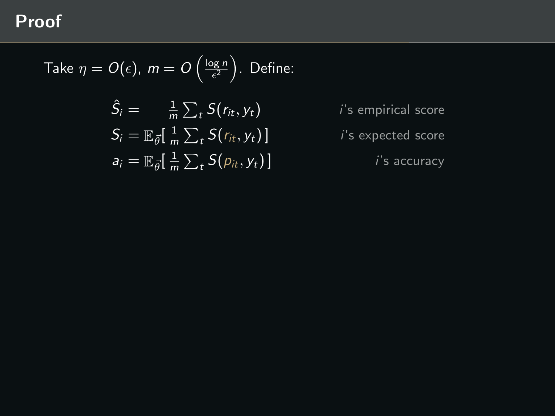Take 
$$
\eta = O(\epsilon)
$$
,  $m = O\left(\frac{\log n}{\epsilon^2}\right)$ . Define:

$$
\hat{S}_i = \frac{1}{m} \sum_t S(r_{it}, y_t)
$$
  
\n
$$
S_i = \mathbb{E}_{\vec{\theta}} \left[ \frac{1}{m} \sum_t S(r_{it}, y_t) \right]
$$
  
\n
$$
a_i = \mathbb{E}_{\vec{\theta}} \left[ \frac{1}{m} \sum_t S(p_{it}, y_t) \right]
$$

 $i$ 's empirical score  $i$ 's expected score  $i$ 's accuracy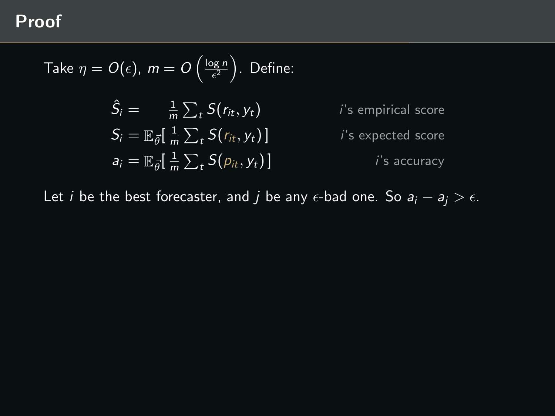Take 
$$
\eta = O(\epsilon)
$$
,  $m = O\left(\frac{\log n}{\epsilon^2}\right)$ . Define:  
\n
$$
\hat{S}_i = \frac{1}{m} \sum_t S(r_{it}, y_t) \qquad \text{if a empirical score}
$$
\n
$$
S_i = \mathbb{E}_{\vec{\theta}}[\frac{1}{m} \sum_t S(r_{it}, y_t)] \qquad \text{if a expected score}
$$
\n
$$
a_i = \mathbb{E}_{\vec{\theta}}[\frac{1}{m} \sum_t S(p_{it}, y_t)] \qquad \text{if a accuracy}
$$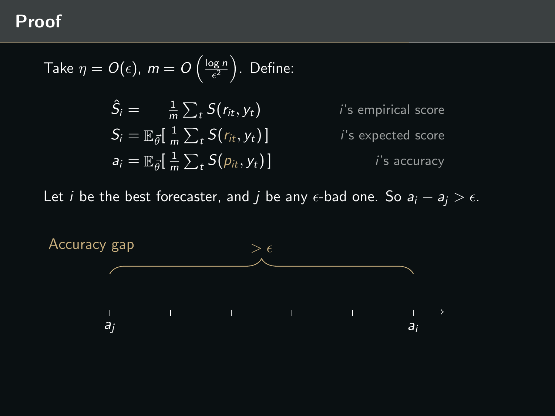Take 
$$
\eta = O(\epsilon)
$$
,  $m = O\left(\frac{\log n}{\epsilon^2}\right)$ . Define:  
\n
$$
\hat{S}_i = \frac{1}{m} \sum_t S(r_{it}, y_t)
$$
\n*i*'s empirical score  
\n
$$
S_i = \mathbb{E}_{\vec{\theta}}[\frac{1}{m} \sum_t S(r_{it}, y_t)]
$$
\n*i*'s expected score  
\n
$$
a_i = \mathbb{E}_{\vec{\theta}}[\frac{1}{m} \sum_t S(p_{it}, y_t)]
$$
\n*i*'s accuracy

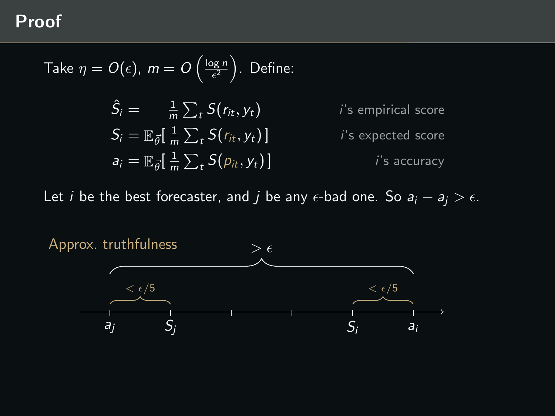Take 
$$
\eta = O(\epsilon)
$$
,  $m = O\left(\frac{\log n}{\epsilon^2}\right)$ . Define:  
\n
$$
\hat{S}_i = \frac{1}{m} \sum_t S(r_{it}, y_t) \qquad \text{is empirical score}
$$
\n
$$
S_i = \mathbb{E}_{\vec{\theta}}[\frac{1}{m} \sum_t S(r_{it}, y_t)] \qquad \text{is expected score}
$$
\n
$$
a_i = \mathbb{E}_{\vec{\theta}}[\frac{1}{m} \sum_t S(p_{it}, y_t)] \qquad \text{is accuracy}
$$

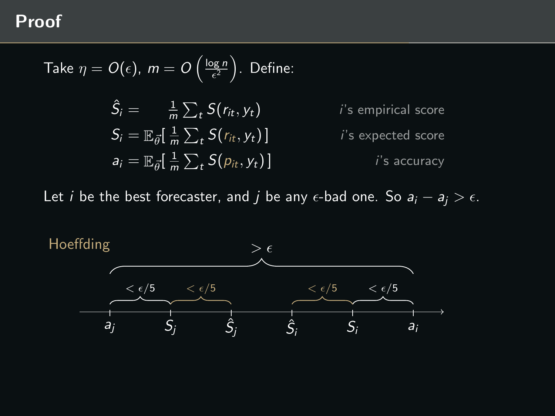Take 
$$
\eta = O(\epsilon)
$$
,  $m = O\left(\frac{\log n}{\epsilon^2}\right)$ . Define:  
\n
$$
\hat{S}_i = \frac{1}{m} \sum_t S(r_{it}, y_t) \qquad \text{if a empirical score}
$$
\n
$$
S_i = \mathbb{E}_{\vec{\theta}}[\frac{1}{m} \sum_t S(r_{it}, y_t)] \qquad \text{if a expected score}
$$
\n
$$
a_i = \mathbb{E}_{\vec{\theta}}[\frac{1}{m} \sum_t S(p_{it}, y_t)] \qquad \text{if a accuracy}
$$

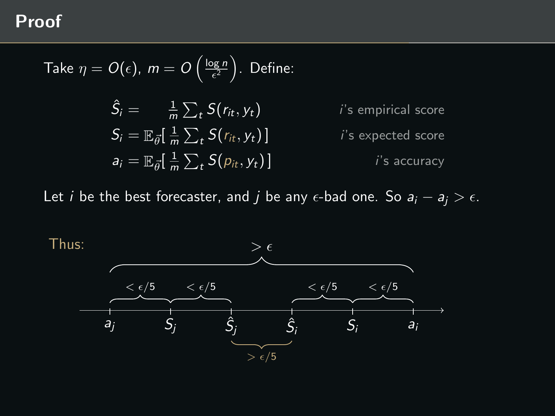Take 
$$
\eta = O(\epsilon)
$$
,  $m = O\left(\frac{\log n}{\epsilon^2}\right)$ . Define:  
\n
$$
\hat{S}_i = \frac{1}{m} \sum_t S(r_{it}, y_t) \qquad \text{is empirical score}
$$
\n
$$
S_i = \mathbb{E}_{\vec{\theta}}[\frac{1}{m} \sum_t S(r_{it}, y_t)] \qquad \text{is expected score}
$$
\n
$$
a_i = \mathbb{E}_{\vec{\theta}}[\frac{1}{m} \sum_t S(p_{it}, y_t)] \qquad \text{is accuracy}
$$

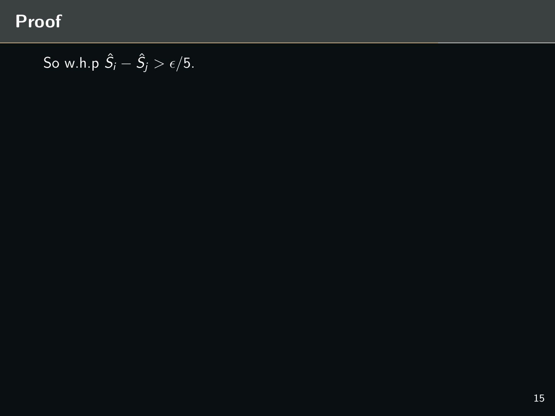So w.h.p  $\hat{S}_i - \hat{S}_j > \epsilon/5$ .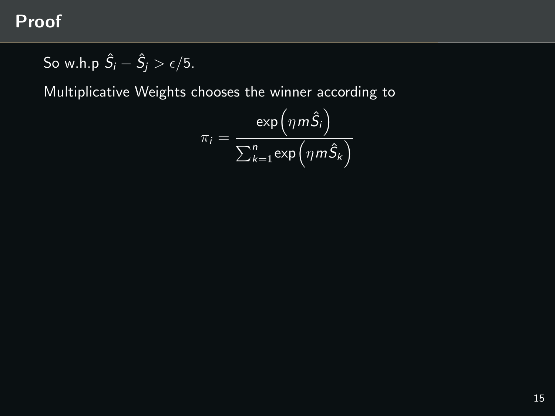So w.h.p  $\hat{S}_i - \hat{S}_j > \epsilon/5$ .

Multiplicative Weights chooses the winner according to

$$
\pi_i = \frac{\exp\left(\eta m \hat{S}_i\right)}{\sum_{k=1}^n \exp\left(\eta m \hat{S}_k\right)}
$$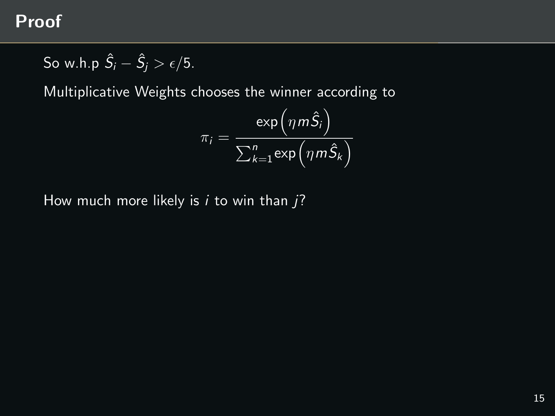So w.h.p 
$$
\hat{S}_i - \hat{S}_j > \epsilon/5
$$
.

Multiplicative Weights chooses the winner according to

$$
\pi_i = \frac{\exp\left(\eta m \hat{S}_i\right)}{\sum_{k=1}^n \exp\left(\eta m \hat{S}_k\right)}
$$

How much more likely is  $i$  to win than  $i$ ?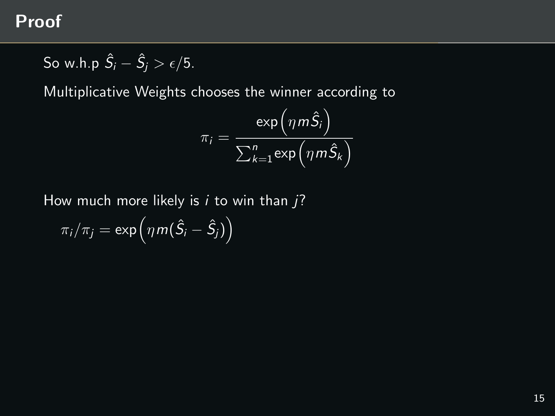So w.h.p 
$$
\hat{S}_i - \hat{S}_j > \epsilon/5
$$
.

Multiplicative Weights chooses the winner according to

$$
\pi_i = \frac{\exp\left(\eta m \hat{S}_i\right)}{\sum_{k=1}^n \exp\left(\eta m \hat{S}_k\right)}
$$

How much more likely is  $i$  to win than  $i$ ?

$$
\pi_i/\pi_j = \exp\left(\eta m(\hat{S}_i - \hat{S}_j)\right)
$$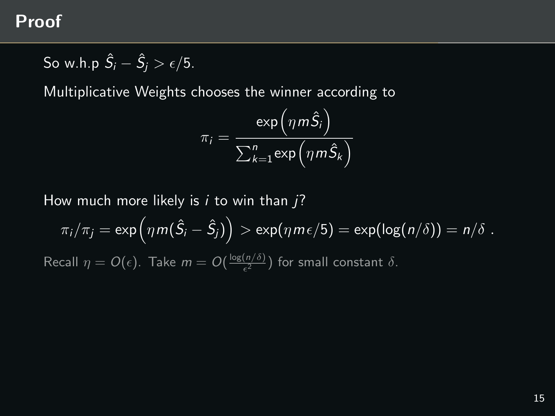So w.h.p 
$$
\hat{S}_i - \hat{S}_j > \epsilon/5
$$
.

Multiplicative Weights chooses the winner according to

$$
\pi_i = \frac{\exp\left(\eta m \hat{S}_i\right)}{\sum_{k=1}^n \exp\left(\eta m \hat{S}_k\right)}
$$

How much more likely is  $i$  to win than  $i$ ?

$$
\pi_i/\pi_j = \exp\left(\eta m(\hat{S}_i - \hat{S}_j)\right) > \exp(\eta m \epsilon/5) = \exp(\log(n/\delta)) = n/\delta.
$$
  
Recall  $\eta = O(\epsilon)$ . Take  $m = O(\frac{\log(n/\delta)}{\epsilon^2})$  for small constant  $\delta$ .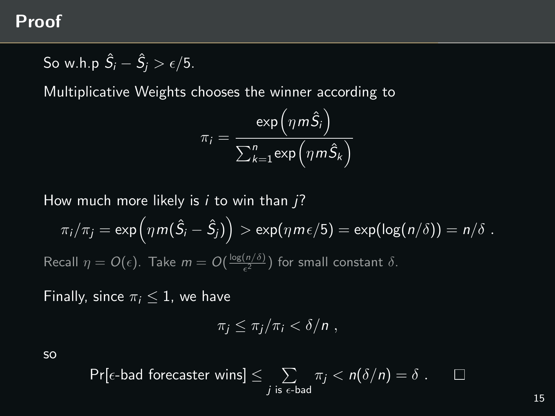So w.h.p 
$$
\hat{S}_i - \hat{S}_j > \epsilon/5
$$
.

Multiplicative Weights chooses the winner according to

$$
\pi_i = \frac{\exp\left(\eta m \hat{S}_i\right)}{\sum_{k=1}^n \exp\left(\eta m \hat{S}_k\right)}
$$

How much more likely is  $i$  to win than  $i$ ?

$$
\pi_i/\pi_j = \exp\left(\eta m(\hat{S}_i - \hat{S}_j)\right) > \exp(\eta m \epsilon/5) = \exp(\log(n/\delta)) = n/\delta.
$$
  
Recall  $\eta = O(\epsilon)$ . Take  $m = O(\frac{\log(n/\delta)}{\epsilon^2})$  for small constant  $\delta$ .

Finally, since  $\pi_i \leq 1$ , we have

$$
\pi_j \leq \pi_j/\pi_i < \delta/n ,
$$

so

$$
\Pr[\epsilon\text{-bad forecaster wins}] \leq \sum_{j \text{ is } \epsilon\text{-bad}} \pi_j < n(\delta/n) = \delta \ . \qquad \Box
$$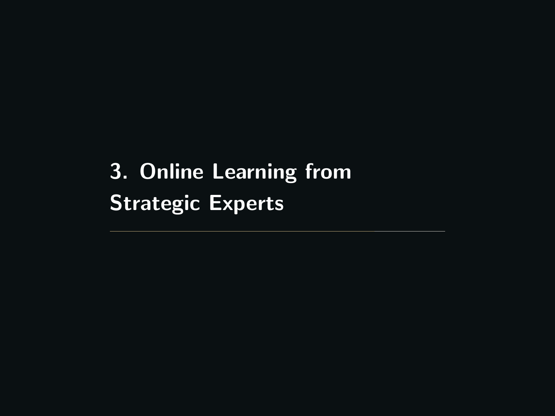<span id="page-67-0"></span>[3. Online Learning from](#page-67-0) **[Strategic Experts](#page-67-0)**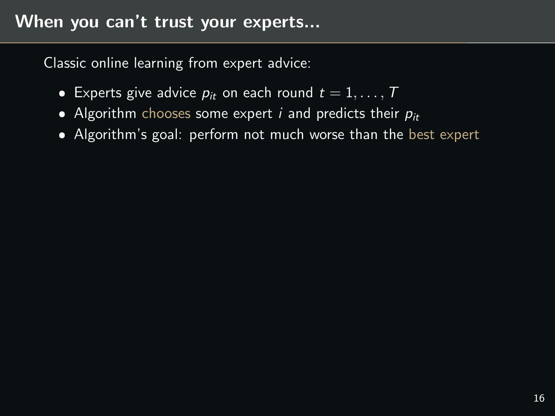Classic online learning from expert advice:

- **Experts give advice**  $p_{it}$  **on each round**  $t = 1, ..., T$
- Algorithm chooses some expert  $i$  and predicts their  $p_{it}$
- Algorithm's goal: perform not much worse than the best expert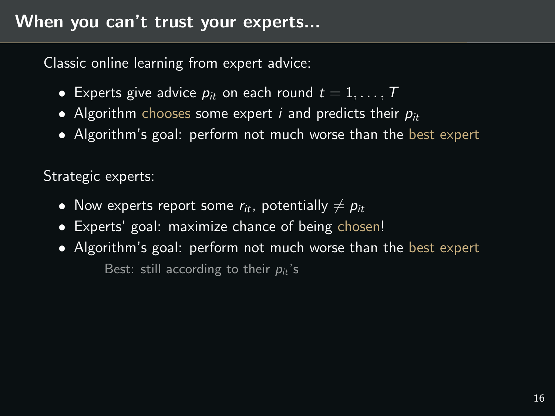Classic online learning from expert advice:

- **Experts give advice**  $p_{it}$  **on each round**  $t = 1, ..., T$
- Algorithm chooses some expert  $i$  and predicts their  $p_{it}$
- Algorithm's goal: perform not much worse than the best expert

Strategic experts:

- $\bullet$  Now experts report some  $r_{it}$ , potentially  $\neq p_{it}$
- $\bullet$ Experts' goal: maximize chance of being chosen!
- Algorithm's goal: perform not much worse than the best expert Best: still according to their  $p_{it}$ 's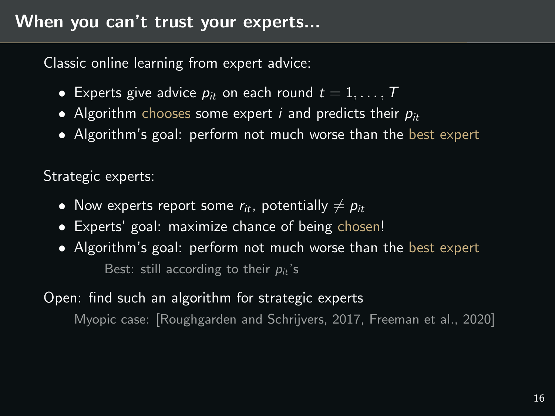Classic online learning from expert advice:

- **Experts give advice**  $p_{it}$  **on each round**  $t = 1, ..., T$
- Algorithm chooses some expert  $i$  and predicts their  $p_{it}$
- Algorithm's goal: perform not much worse than the best expert

Strategic experts:

- $\bullet$  Now experts report some  $r_{it}$ , potentially  $\neq p_{it}$
- $\bullet$ Experts' goal: maximize chance of being chosen!
- Algorithm's goal: perform not much worse than the best expert Best: still according to their  $p_{it}$ 's

### Open: find such an algorithm for strategic experts

Myopic case: [\[Roughgarden and Schrijvers, 2017,](#page-79-1) [Freeman et al., 2020\]](#page-79-2)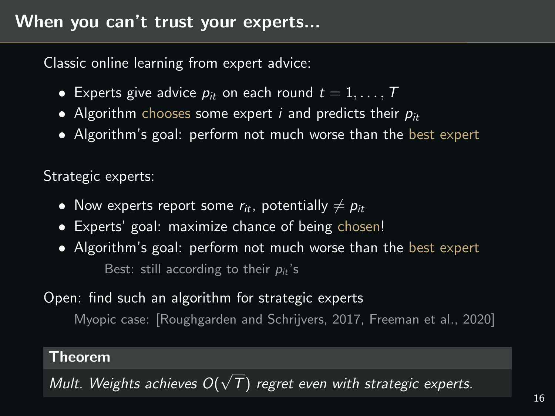Classic online learning from expert advice:

- **Experts give advice**  $p_{it}$  **on each round**  $t = 1, ..., T$
- Algorithm chooses some expert  $i$  and predicts their  $p_{it}$
- Algorithm's goal: perform not much worse than the best expert

Strategic experts:

- $\bullet$  Now experts report some  $r_{it}$ , potentially  $\neq p_{it}$
- $\bullet$ Experts' goal: maximize chance of being chosen!
- Algorithm's goal: perform not much worse than the best expert Best: still according to their  $p_{it}$ 's

Open: find such an algorithm for strategic experts

Myopic case: [\[Roughgarden and Schrijvers, 2017,](#page-79-1) [Freeman et al., 2020\]](#page-79-2)

#### Theorem

Mult. Weights achieves O( √ T) regret even with strategic experts.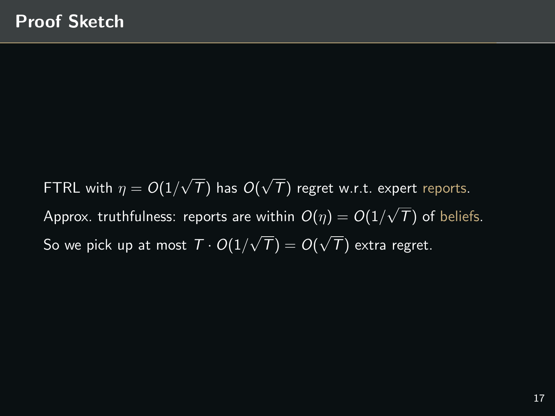<code>FTRL</code> with  $\eta = O(1/2)$ √  $T$ ) has  $O($ √  $T$ ) regret w.r.t. expert reports. Approx. truthfulness: reports are within  $O(\eta)=O(1/\eta)$ √  $\tau$ ) of beliefs. So we pick up at most  $\mathcal{T} \cdot O(1/2)$ √  $T) = O($ √  $\tau$ ) extra regret.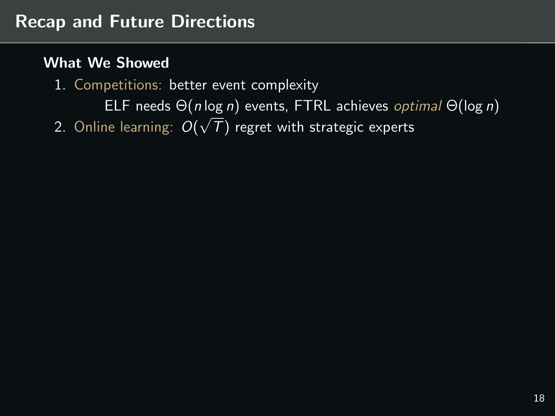# Recap and Future Directions

#### What We Showed

1. Competitions: better event complexity

ELF needs  $\Theta(n \log n)$  events, FTRL achieves *optimal*  $\Theta(\log n)$ 2. Online learning:  $O(\frac{1}{2})$ √  $T$ ) regret with strategic experts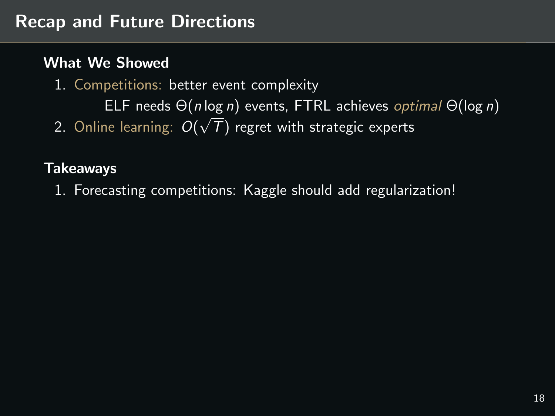- 1. Competitions: better event complexity
- ELF needs  $\Theta(n \log n)$  events, FTRL achieves *optimal*  $\Theta(\log n)$ 2. Online learning:  $O($ √  $T$ ) regret with strategic experts

# **Takeaways**

1. Forecasting competitions: Kaggle should add regularization!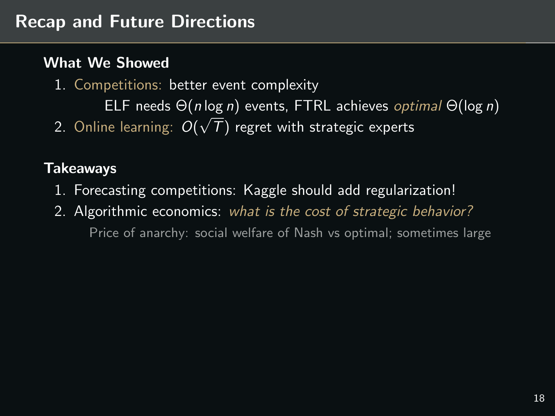1. Competitions: better event complexity

ELF needs  $\Theta(n \log n)$  events, FTRL achieves *optimal*  $\Theta(\log n)$ 2. Online learning:  $O($ √  $T$ ) regret with strategic experts

# **Takeaways**

- 1. Forecasting competitions: Kaggle should add regularization!
- 2. Algorithmic economics: what is the cost of strategic behavior? Price of anarchy: social welfare of Nash vs optimal; sometimes large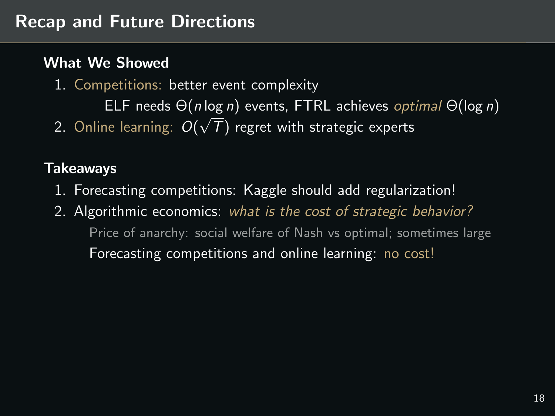1. Competitions: better event complexity

ELF needs  $\Theta(n \log n)$  events, FTRL achieves *optimal*  $\Theta(\log n)$ 2. Online learning:  $O($ √  $T$ ) regret with strategic experts

# Takeaways

- 1. Forecasting competitions: Kaggle should add regularization!
- 2. Algorithmic economics: what is the cost of strategic behavior? Price of anarchy: social welfare of Nash vs optimal; sometimes large Forecasting competitions and online learning: no cost!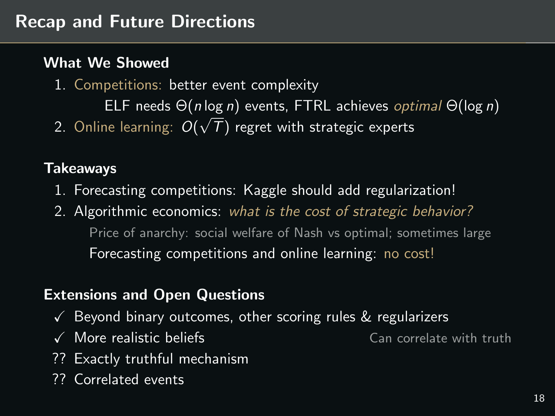1. Competitions: better event complexity

ELF needs  $\Theta(n \log n)$  events, FTRL achieves *optimal*  $\Theta(\log n)$ 2. Online learning:  $O($ √  $T$ ) regret with strategic experts

#### Takeaways

- 1. Forecasting competitions: Kaggle should add regularization!
- 2. Algorithmic economics: what is the cost of strategic behavior? Price of anarchy: social welfare of Nash vs optimal; sometimes large Forecasting competitions and online learning: no cost!

# Extensions and Open Questions

- $\sqrt{\ }$  Beyond binary outcomes, other scoring rules & regularizers
- $\checkmark$  More realistic beliefs  $\checkmark$  Can correlate with truth
- ?? Exactly truthful mechanism
- ?? Correlated events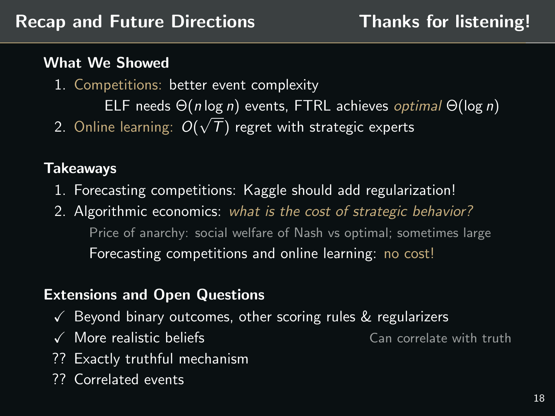- 1. Competitions: better event complexity
	- ELF needs  $\Theta(n \log n)$  events, FTRL achieves *optimal*  $\Theta(\log n)$ √
- 2. Online learning:  $O($  $T$ ) regret with strategic experts

# Takeaways

- 1. Forecasting competitions: Kaggle should add regularization!
- 2. Algorithmic economics: what is the cost of strategic behavior? Price of anarchy: social welfare of Nash vs optimal; sometimes large Forecasting competitions and online learning: no cost!

# Extensions and Open Questions

- $\sqrt{\ }$  Beyond binary outcomes, other scoring rules & regularizers
- $\checkmark$  More realistic beliefs  $\checkmark$  Can correlate with truth
- ?? Exactly truthful mechanism
- ?? Correlated events